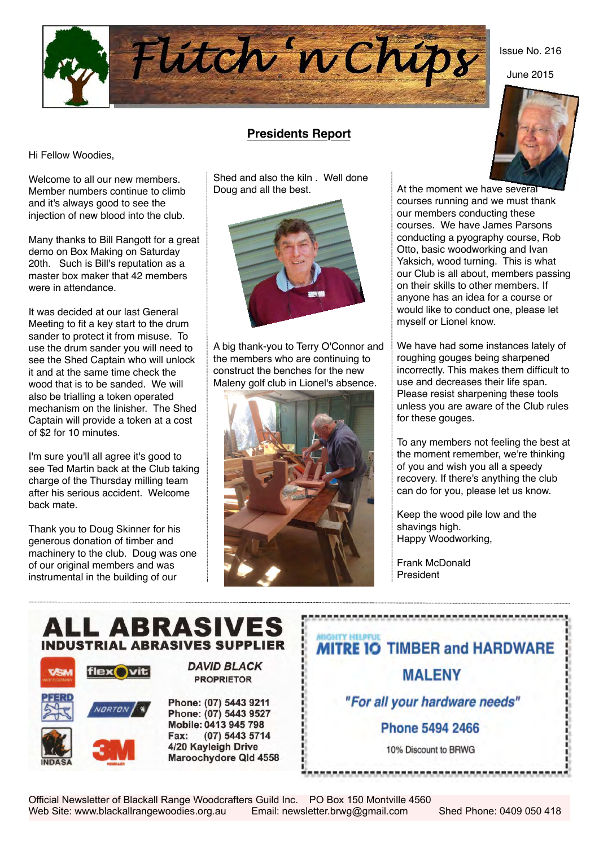

# **Presidents Report**

Shed and also the kiln . Well done

Hi Fellow Woodies,

Welcome to all our new members. Member numbers continue to climb and it's always good to see the injection of new blood into the club.

Many thanks to Bill Rangott for a great demo on Box Making on Saturday 20th. Such is Bill's reputation as a master box maker that 42 members were in attendance.

It was decided at our last General Meeting to fit a key start to the drum sander to protect it from misuse. To use the drum sander you will need to see the Shed Captain who will unlock it and at the same time check the wood that is to be sanded. We will also be trialling a token operated mechanism on the linisher. The Shed Captain will provide a token at a cost of \$2 for 10 minutes.

I'm sure you'll all agree it's good to see Ted Martin back at the Club taking charge of the Thursday milling team after his serious accident. Welcome back mate.

Thank you to Doug Skinner for his generous donation of timber and machinery to the club. Doug was one of our original members and was instrumental in the building of our



A big thank-you to Terry O'Connor and the members who are continuing to construct the benches for the new Maleny golf club in Lionel's absence.



At the moment we have several courses running and we must thank our members conducting these courses. We have James Parsons conducting a pyography course, Rob Otto, basic woodworking and Ivan Yaksich, wood turning. This is what our Club is all about, members passing

on their skills to other members. If anyone has an idea for a course or would like to conduct one, please let myself or Lionel know. We have had some instances lately of

roughing gouges being sharpened incorrectly. This makes them difficult to use and decreases their life span. Please resist sharpening these tools unless you are aware of the Club rules for these gouges.

To any members not feeling the best at the moment remember, we're thinking of you and wish you all a speedy recovery. If there's anything the club can do for you, please let us know.

Keep the wood pile low and the shavings high. Happy Woodworking,

Frank McDonald President



Issue No. 216

June 2015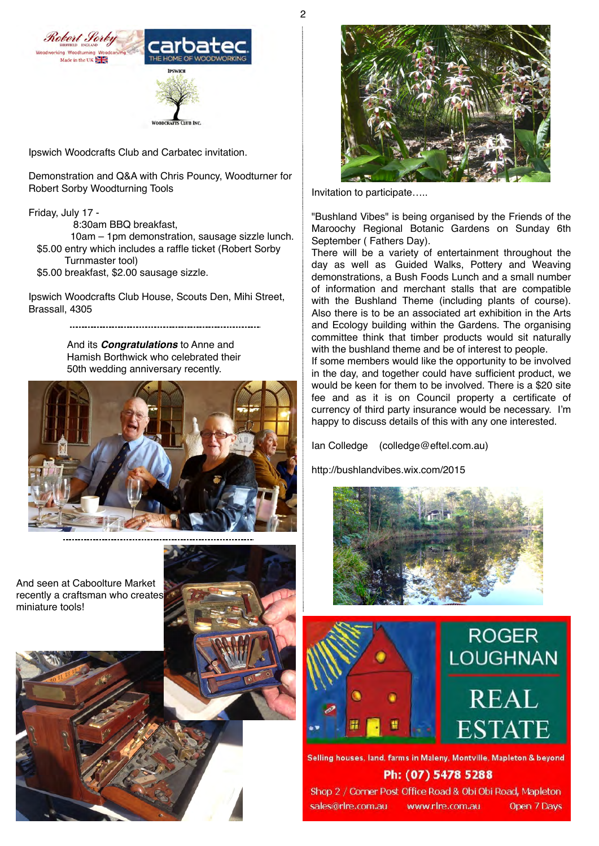2





carbate

Ipswich Woodcrafts Club and Carbatec invitation.

Demonstration and Q&A with Chris Pouncy, Woodturner for Robert Sorby Woodturning Tools

## Friday, July 17 -

8:30am BBQ breakfast,

 10am – 1pm demonstration, sausage sizzle lunch. \$5.00 entry which includes a raffle ticket (Robert Sorby Turnmaster tool)

\$5.00 breakfast, \$2.00 sausage sizzle.

Ipswich Woodcrafts Club House, Scouts Den, Mihi Street, Brassall, 4305

And its *Congratulations* to Anne and Hamish Borthwick who celebrated their 50th wedding anniversary recently.



And seen at Caboolture Market recently a craftsman who creates

miniature tools!





Invitation to participate…..

"Bushland Vibes" is being organised by the Friends of the Maroochy Regional Botanic Gardens on Sunday 6th September ( Fathers Day).

There will be a variety of entertainment throughout the day as well as Guided Walks, Pottery and Weaving demonstrations, a Bush Foods Lunch and a small number of information and merchant stalls that are compatible with the Bushland Theme (including plants of course). Also there is to be an associated art exhibition in the Arts and Ecology building within the Gardens. The organising committee think that timber products would sit naturally with the bushland theme and be of interest to people.

If some members would like the opportunity to be involved in the day, and together could have sufficient product, we would be keen for them to be involved. There is a \$20 site fee and as it is on Council property a certificate of currency of third party insurance would be necessary. I'm happy to discuss details of this with any one interested.

Ian Colledge (colledge@eftel.com.au)

<http://bushlandvibes.wix.com/2015>







Selling houses, land, farms in Maleny, Montville, Mapleton & beyond Ph: (07) 5478 5288

Shop 2 / Corner Post Office Road & Obi Obi Road, Mapleton sales@rlre.com.au www.rlre.com.au

Open 7 Days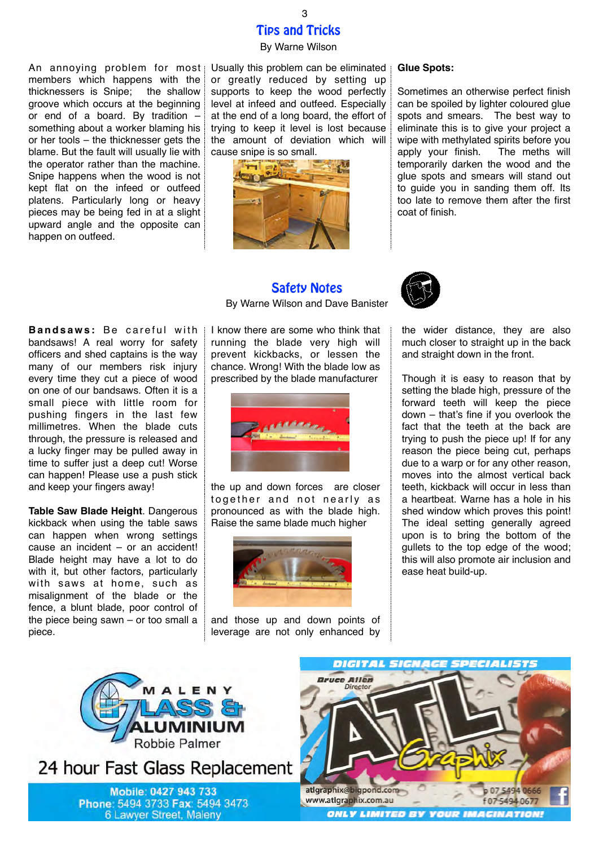# Tips and Tricks

#### By Warne Wilson

An annoying problem for most members which happens with the thicknessers is Snipe; the shallow groove which occurs at the beginning or end of a board. By tradition – something about a worker blaming his or her tools – the thicknesser gets the blame. But the fault will usually lie with the operator rather than the machine. Snipe happens when the wood is not kept flat on the infeed or outfeed platens. Particularly long or heavy pieces may be being fed in at a slight upward angle and the opposite can happen on outfeed.

Usually this problem can be eliminated or greatly reduced by setting up supports to keep the wood perfectly level at infeed and outfeed. Especially at the end of a long board, the effort of trying to keep it level is lost because the amount of deviation which will cause snipe is so small.



#### **Glue Spots:**

Sometimes an otherwise perfect finish can be spoiled by lighter coloured glue spots and smears. The best way to eliminate this is to give your project a wipe with methylated spirits before you apply your finish. The meths will temporarily darken the wood and the glue spots and smears will stand out to guide you in sanding them off. Its too late to remove them after the first coat of finish.

## Safety Notes By Warne Wilson and Dave Banister



the wider distance, they are also much closer to straight up in the back and straight down in the front.

Though it is easy to reason that by setting the blade high, pressure of the forward teeth will keep the piece down – that's fine if you overlook the fact that the teeth at the back are trying to push the piece up! If for any reason the piece being cut, perhaps due to a warp or for any other reason, moves into the almost vertical back teeth, kickback will occur in less than a heartbeat. Warne has a hole in his shed window which proves this point! The ideal setting generally agreed upon is to bring the bottom of the gullets to the top edge of the wood; this will also promote air inclusion and ease heat build-up.

p 07 5494 066

**Bandsaws:** Be careful with bandsaws! A real worry for safety officers and shed captains is the way many of our members risk injury every time they cut a piece of wood on one of our bandsaws. Often it is a small piece with little room for pushing fingers in the last few millimetres. When the blade cuts through, the pressure is released and a lucky finger may be pulled away in time to suffer just a deep cut! Worse can happen! Please use a push stick and keep your fingers away!

**Table Saw Blade Height**. Dangerous kickback when using the table saws can happen when wrong settings cause an incident – or an accident! Blade height may have a lot to do with it, but other factors, particularly with saws at home, such as misalignment of the blade or the fence, a blunt blade, poor control of the piece being sawn – or too small a piece.

Robbie Palmer

24 hour Fast Glass Replacement

Mobile: 0427 943 733

Phone: 5494 3733 Fax: 5494 3473

6 Lawyer Street, Maleny

I know there are some who think that running the blade very high will prevent kickbacks, or lessen the chance. Wrong! With the blade low as prescribed by the blade manufacturer



the up and down forces are closer together and not nearly as pronounced as with the blade high. Raise the same blade much higher



and those up and down points of leverage are not only enhanced by

> **Bruce Allen** Directo

atlgraphix@bigpond.com

www.atlgraphix.com.au f 07 5494 0677 **ONLY LIMITED BY YOUR IMAGINATION!** 

**DIGITAL SIGNAGE SPECIALISTS** 

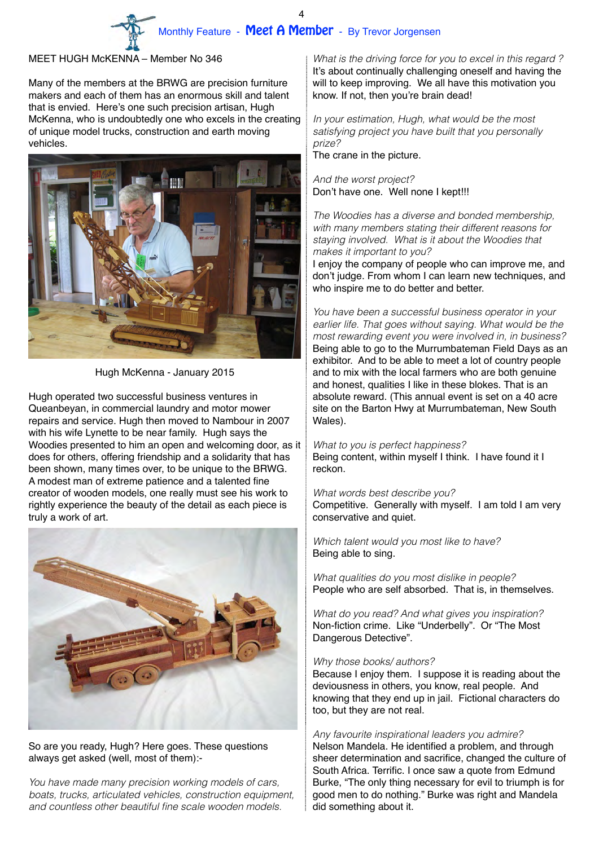## MEET HUGH McKENNA – Member No 346

Many of the members at the BRWG are precision furniture makers and each of them has an enormous skill and talent that is envied. Here's one such precision artisan, Hugh McKenna, who is undoubtedly one who excels in the creating of unique model trucks, construction and earth moving vehicles.



Hugh McKenna - January 2015

Hugh operated two successful business ventures in Queanbeyan, in commercial laundry and motor mower repairs and service. Hugh then moved to Nambour in 2007 with his wife Lynette to be near family. Hugh says the Woodies presented to him an open and welcoming door, as it does for others, offering friendship and a solidarity that has been shown, many times over, to be unique to the BRWG. A modest man of extreme patience and a talented fine creator of wooden models, one really must see his work to rightly experience the beauty of the detail as each piece is truly a work of art.



## So are you ready, Hugh? Here goes. These questions always get asked (well, most of them):-

*You have made many precision working models of cars, boats, trucks, articulated vehicles, construction equipment, and countless other beautiful fine scale wooden models.* 

*What is the driving force for you to excel in this regard ?* It's about continually challenging oneself and having the will to keep improving. We all have this motivation you know. If not, then you're brain dead!

*In your estimation, Hugh, what would be the most satisfying project you have built that you personally prize?*

The crane in the picture.

*And the worst project?* Don't have one. Well none I kept!!!

*The Woodies has a diverse and bonded membership, with many members stating their different reasons for staying involved. What is it about the Woodies that makes it important to you?* 

I enjoy the company of people who can improve me, and don't judge. From whom I can learn new techniques, and who inspire me to do better and better.

*You have been a successful business operator in your earlier life. That goes without saying. What would be the most rewarding event you were involved in, in business?* Being able to go to the Murrumbateman Field Days as an exhibitor. And to be able to meet a lot of country people and to mix with the local farmers who are both genuine and honest, qualities I like in these blokes. That is an absolute reward. (This annual event is set on a 40 acre site on the Barton Hwy at Murrumbateman, New South Wales).

*What to you is perfect happiness?* Being content, within myself I think. I have found it I reckon.

*What words best describe you?* Competitive. Generally with myself. I am told I am very conservative and quiet.

*Which talent would you most like to have?*  Being able to sing.

*What qualities do you most dislike in people?*  People who are self absorbed. That is, in themselves.

*What do you read? And what gives you inspiration?*  Non-fiction crime. Like "Underbelly". Or "The Most Dangerous Detective".

## *Why those books/ authors?*

Because I enjoy them. I suppose it is reading about the deviousness in others, you know, real people. And knowing that they end up in jail. Fictional characters do too, but they are not real.

## *Any favourite inspirational leaders you admire?*

Nelson Mandela. He identified a problem, and through sheer determination and sacrifice, changed the culture of South Africa. Terrific. I once saw a quote from Edmund Burke, "The only thing necessary for evil to triumph is for good men to do nothing." Burke was right and Mandela did something about it.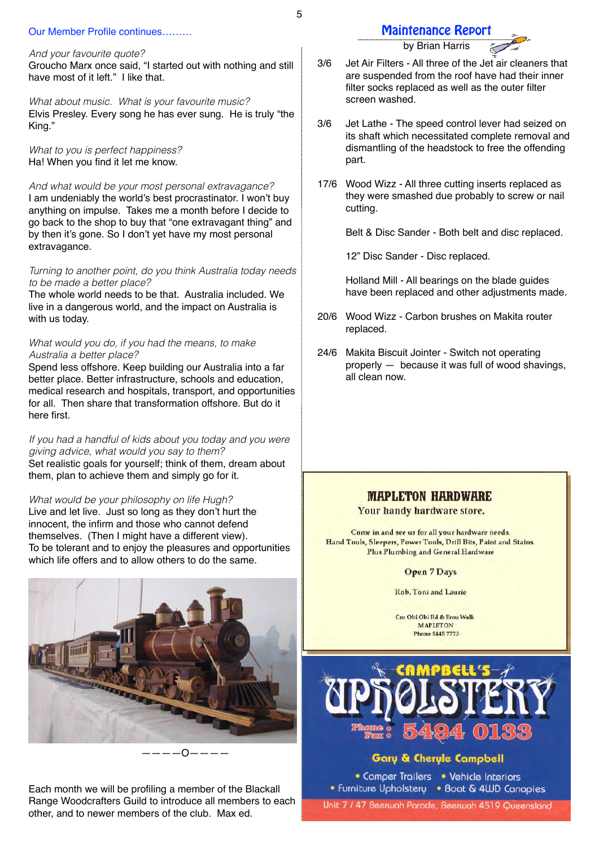#### Our Member Profile continues………

*And your favourite quote?* Groucho Marx once said, "I started out with nothing and still have most of it left." I like that.

*What about music. What is your favourite music?* Elvis Presley. Every song he has ever sung. He is truly "the King."

*What to you is perfect happiness?* Ha! When you find it let me know.

*And what would be your most personal extravagance?* I am undeniably the world's best procrastinator. I won't buy anything on impulse. Takes me a month before I decide to go back to the shop to buy that "one extravagant thing" and by then it's gone. So I don't yet have my most personal extravagance.

*Turning to another point, do you think Australia today needs to be made a better place?*

The whole world needs to be that. Australia included. We live in a dangerous world, and the impact on Australia is with us today.

#### *What would you do, if you had the means, to make Australia a better place?*

Spend less offshore. Keep building our Australia into a far better place. Better infrastructure, schools and education, medical research and hospitals, transport, and opportunities for all. Then share that transformation offshore. But do it here first.

*If you had a handful of kids about you today and you were giving advice, what would you say to them?* Set realistic goals for yourself; think of them, dream about them, plan to achieve them and simply go for it.

*What would be your philosophy on life Hugh?* Live and let live. Just so long as they don't hurt the innocent, the infirm and those who cannot defend themselves. (Then I might have a different view). To be tolerant and to enjoy the pleasures and opportunities which life offers and to allow others to do the same.



————O————

Each month we will be profiling a member of the Blackall Range Woodcrafters Guild to introduce all members to each other, and to newer members of the club. Max ed.

by Brian Harris

- 3/6 Jet Air Filters All three of the Jet air cleaners that are suspended from the roof have had their inner filter socks replaced as well as the outer filter screen washed.
- 3/6 Jet Lathe The speed control lever had seized on its shaft which necessitated complete removal and dismantling of the headstock to free the offending part.
- 17/6 Wood Wizz All three cutting inserts replaced as they were smashed due probably to screw or nail cutting.

Belt & Disc Sander - Both belt and disc replaced.

12" Disc Sander - Disc replaced.

Holland Mill - All bearings on the blade guides have been replaced and other adjustments made.

- 20/6 Wood Wizz Carbon brushes on Makita router replaced.
- 24/6 Makita Biscuit Jointer Switch not operating properly — because it was full of wood shavings, all clean now.

## **MAPLETON HARDWARE**

Your handy hardware store.

Come in and see us for all your hardware needs. Hand Tools, Sleepers, Power Tools, Drill Bits, Paint and Stains. Plus Plumbing and General Hardware

#### **Open 7 Days**

Rob, Toni and Laurie

Cnr Obi Obi Rd & Emu Walk **MAPLETON Phone 5445 7773** 



## **Gary & Cheryle Campbell**

• Comper Trailers • Vehicle Interiors • Furniture Upholstery • Boat & 4WD Canopies

Unit 7 / 47 Beerwah Parade, Beerwah 4519 Queensland